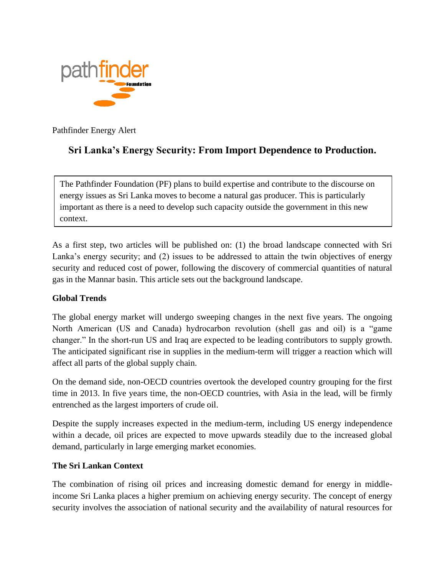

Pathfinder Energy Alert

# **Sri Lanka's Energy Security: From Import Dependence to Production.**

The Pathfinder Foundation (PF) plans to build expertise and contribute to the discourse on energy issues as Sri Lanka moves to become a natural gas producer. This is particularly important as there is a need to develop such capacity outside the government in this new context.

As a first step, two articles will be published on: (1) the broad landscape connected with Sri Lanka's energy security; and (2) issues to be addressed to attain the twin objectives of energy security and reduced cost of power, following the discovery of commercial quantities of natural gas in the Mannar basin. This article sets out the background landscape.

## **Global Trends**

The global energy market will undergo sweeping changes in the next five years. The ongoing North American (US and Canada) hydrocarbon revolution (shell gas and oil) is a "game changer." In the short-run US and Iraq are expected to be leading contributors to supply growth. The anticipated significant rise in supplies in the medium-term will trigger a reaction which will affect all parts of the global supply chain.

On the demand side, non-OECD countries overtook the developed country grouping for the first time in 2013. In five years time, the non-OECD countries, with Asia in the lead, will be firmly entrenched as the largest importers of crude oil.

Despite the supply increases expected in the medium-term, including US energy independence within a decade, oil prices are expected to move upwards steadily due to the increased global demand, particularly in large emerging market economies.

## **The Sri Lankan Context**

The combination of rising oil prices and increasing domestic demand for energy in middleincome Sri Lanka places a higher premium on achieving energy security. The concept of energy security involves the association of national security and the availability of natural resources for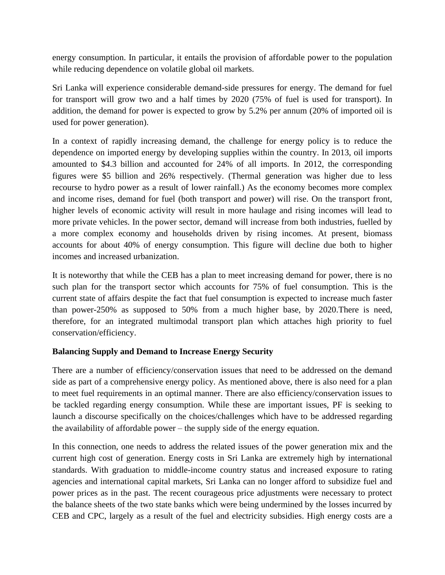energy consumption. In particular, it entails the provision of affordable power to the population while reducing dependence on volatile global oil markets.

Sri Lanka will experience considerable demand-side pressures for energy. The demand for fuel for transport will grow two and a half times by 2020 (75% of fuel is used for transport). In addition, the demand for power is expected to grow by 5.2% per annum (20% of imported oil is used for power generation).

In a context of rapidly increasing demand, the challenge for energy policy is to reduce the dependence on imported energy by developing supplies within the country. In 2013, oil imports amounted to \$4.3 billion and accounted for 24% of all imports. In 2012, the corresponding figures were \$5 billion and 26% respectively. (Thermal generation was higher due to less recourse to hydro power as a result of lower rainfall.) As the economy becomes more complex and income rises, demand for fuel (both transport and power) will rise. On the transport front, higher levels of economic activity will result in more haulage and rising incomes will lead to more private vehicles. In the power sector, demand will increase from both industries, fuelled by a more complex economy and households driven by rising incomes. At present, biomass accounts for about 40% of energy consumption. This figure will decline due both to higher incomes and increased urbanization.

It is noteworthy that while the CEB has a plan to meet increasing demand for power, there is no such plan for the transport sector which accounts for 75% of fuel consumption. This is the current state of affairs despite the fact that fuel consumption is expected to increase much faster than power-250% as supposed to 50% from a much higher base, by 2020.There is need, therefore, for an integrated multimodal transport plan which attaches high priority to fuel conservation/efficiency.

## **Balancing Supply and Demand to Increase Energy Security**

There are a number of efficiency/conservation issues that need to be addressed on the demand side as part of a comprehensive energy policy. As mentioned above, there is also need for a plan to meet fuel requirements in an optimal manner. There are also efficiency/conservation issues to be tackled regarding energy consumption. While these are important issues, PF is seeking to launch a discourse specifically on the choices/challenges which have to be addressed regarding the availability of affordable power – the supply side of the energy equation.

In this connection, one needs to address the related issues of the power generation mix and the current high cost of generation. Energy costs in Sri Lanka are extremely high by international standards. With graduation to middle-income country status and increased exposure to rating agencies and international capital markets, Sri Lanka can no longer afford to subsidize fuel and power prices as in the past. The recent courageous price adjustments were necessary to protect the balance sheets of the two state banks which were being undermined by the losses incurred by CEB and CPC, largely as a result of the fuel and electricity subsidies. High energy costs are a